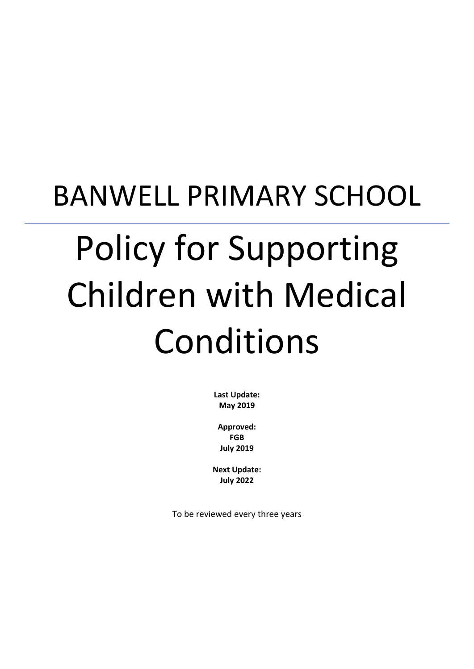# BANWELL PRIMARY SCHOOL Policy for Supporting Children with Medical Conditions

**Last Update: May 2019**

**Approved: FGB July 2019**

**Next Update: July 2022**

To be reviewed every three years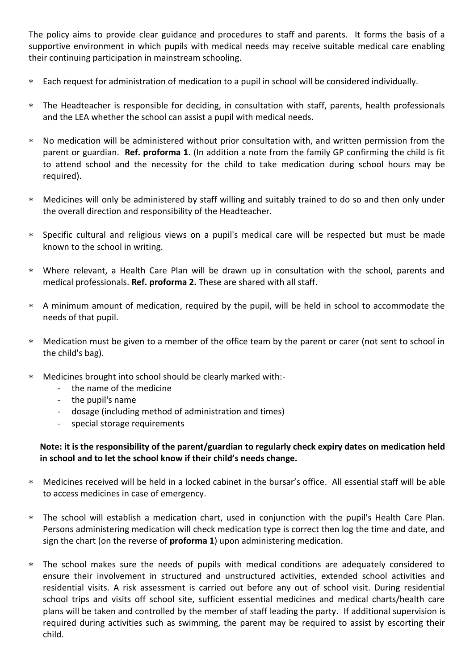The policy aims to provide clear guidance and procedures to staff and parents. It forms the basis of a supportive environment in which pupils with medical needs may receive suitable medical care enabling their continuing participation in mainstream schooling.

- Each request for administration of medication to a pupil in school will be considered individually.
- The Headteacher is responsible for deciding, in consultation with staff, parents, health professionals and the LEA whether the school can assist a pupil with medical needs.
- No medication will be administered without prior consultation with, and written permission from the parent or guardian. **Ref. proforma 1**. (In addition a note from the family GP confirming the child is fit to attend school and the necessity for the child to take medication during school hours may be required).
- Medicines will only be administered by staff willing and suitably trained to do so and then only under the overall direction and responsibility of the Headteacher.
- Specific cultural and religious views on a pupil's medical care will be respected but must be made known to the school in writing.
- Where relevant, a Health Care Plan will be drawn up in consultation with the school, parents and medical professionals. **Ref. proforma 2.** These are shared with all staff.
- A minimum amount of medication, required by the pupil, will be held in school to accommodate the needs of that pupil.
- Medication must be given to a member of the office team by the parent or carer (not sent to school in the child's bag).
- Medicines brought into school should be clearly marked with:-
	- the name of the medicine
	- the pupil's name
	- dosage (including method of administration and times)
	- special storage requirements

### **Note: it is the responsibility of the parent/guardian to regularly check expiry dates on medication held in school and to let the school know if their child's needs change.**

- Medicines received will be held in a locked cabinet in the bursar's office. All essential staff will be able to access medicines in case of emergency.
- The school will establish a medication chart, used in conjunction with the pupil's Health Care Plan. Persons administering medication will check medication type is correct then log the time and date, and sign the chart (on the reverse of **proforma 1**) upon administering medication.
- The school makes sure the needs of pupils with medical conditions are adequately considered to ensure their involvement in structured and unstructured activities, extended school activities and residential visits. A risk assessment is carried out before any out of school visit. During residential school trips and visits off school site, sufficient essential medicines and medical charts/health care plans will be taken and controlled by the member of staff leading the party. If additional supervision is required during activities such as swimming, the parent may be required to assist by escorting their child.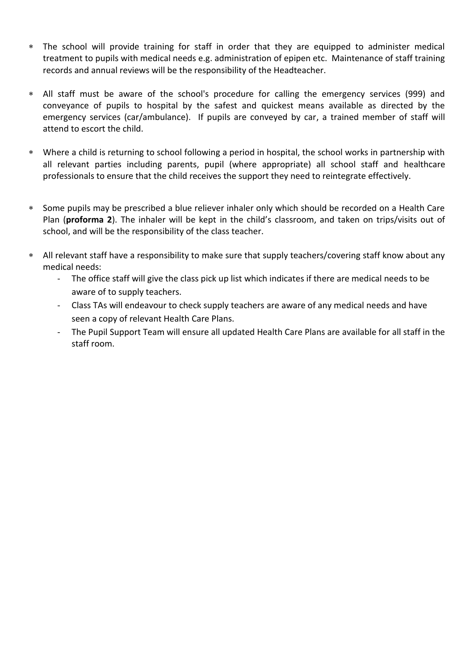- The school will provide training for staff in order that they are equipped to administer medical treatment to pupils with medical needs e.g. administration of epipen etc. Maintenance of staff training records and annual reviews will be the responsibility of the Headteacher.
- All staff must be aware of the school's procedure for calling the emergency services (999) and conveyance of pupils to hospital by the safest and quickest means available as directed by the emergency services (car/ambulance). If pupils are conveyed by car, a trained member of staff will attend to escort the child.
- Where a child is returning to school following a period in hospital, the school works in partnership with all relevant parties including parents, pupil (where appropriate) all school staff and healthcare professionals to ensure that the child receives the support they need to reintegrate effectively.
- Some pupils may be prescribed a blue reliever inhaler only which should be recorded on a Health Care Plan (**proforma 2**). The inhaler will be kept in the child's classroom, and taken on trips/visits out of school, and will be the responsibility of the class teacher.
- All relevant staff have a responsibility to make sure that supply teachers/covering staff know about any medical needs:
	- The office staff will give the class pick up list which indicates if there are medical needs to be aware of to supply teachers.
	- Class TAs will endeavour to check supply teachers are aware of any medical needs and have seen a copy of relevant Health Care Plans.
	- The Pupil Support Team will ensure all updated Health Care Plans are available for all staff in the staff room.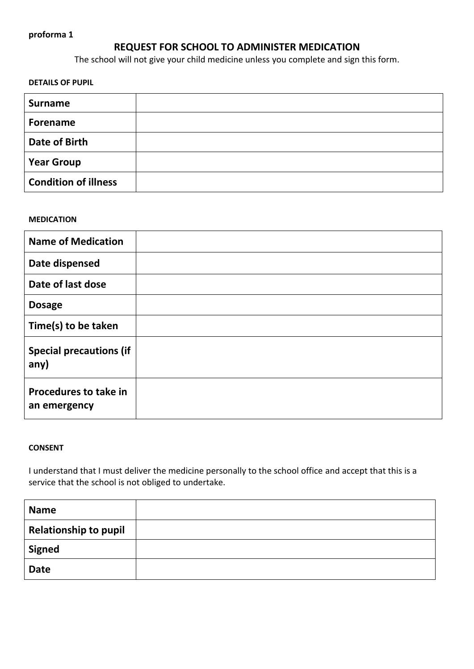## **REQUEST FOR SCHOOL TO ADMINISTER MEDICATION**

The school will not give your child medicine unless you complete and sign this form.

**DETAILS OF PUPIL**

| <b>Surname</b>              |  |
|-----------------------------|--|
| <b>Forename</b>             |  |
| <b>Date of Birth</b>        |  |
| <b>Year Group</b>           |  |
| <b>Condition of illness</b> |  |

#### **MEDICATION**

| <b>Name of Medication</b>                    |  |
|----------------------------------------------|--|
| Date dispensed                               |  |
| Date of last dose                            |  |
| <b>Dosage</b>                                |  |
| Time(s) to be taken                          |  |
| <b>Special precautions (if</b><br>any)       |  |
| <b>Procedures to take in</b><br>an emergency |  |

#### **CONSENT**

I understand that I must deliver the medicine personally to the school office and accept that this is a service that the school is not obliged to undertake.

| <b>Name</b>                  |  |
|------------------------------|--|
| <b>Relationship to pupil</b> |  |
| <b>Signed</b>                |  |
| <b>Date</b>                  |  |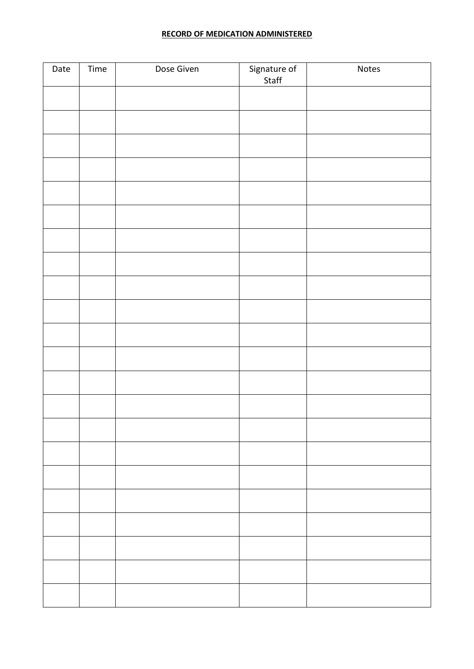#### **RECORD OF MEDICATION ADMINISTERED**

| Date | Time | Dose Given | Signature of<br>Staff | Notes |
|------|------|------------|-----------------------|-------|
|      |      |            |                       |       |
|      |      |            |                       |       |
|      |      |            |                       |       |
|      |      |            |                       |       |
|      |      |            |                       |       |
|      |      |            |                       |       |
|      |      |            |                       |       |
|      |      |            |                       |       |
|      |      |            |                       |       |
|      |      |            |                       |       |
|      |      |            |                       |       |
|      |      |            |                       |       |
|      |      |            |                       |       |
|      |      |            |                       |       |
|      |      |            |                       |       |
|      |      |            |                       |       |
|      |      |            |                       |       |
|      |      |            |                       |       |
|      |      |            |                       |       |
|      |      |            |                       |       |
|      |      |            |                       |       |
|      |      |            |                       |       |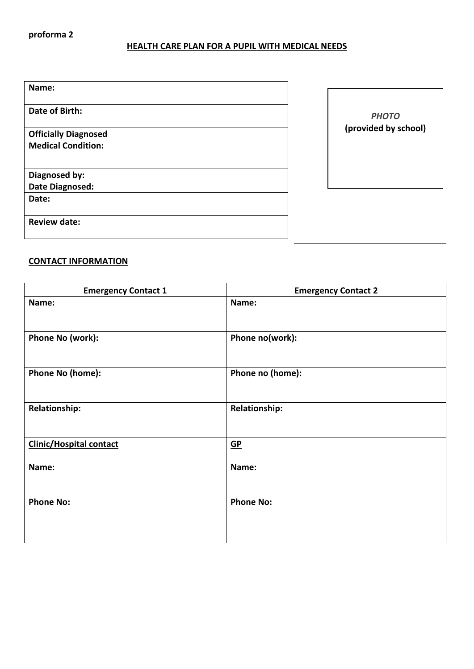## **HEALTH CARE PLAN FOR A PUPIL WITH MEDICAL NEEDS**

| Name:                       |  |
|-----------------------------|--|
| Date of Birth:              |  |
| <b>Officially Diagnosed</b> |  |
| <b>Medical Condition:</b>   |  |
|                             |  |
| Diagnosed by:               |  |
| Date Diagnosed:             |  |
| Date:                       |  |
| <b>Review date:</b>         |  |

| <b>PHOTO</b>         |  |
|----------------------|--|
| (provided by school) |  |
|                      |  |
|                      |  |
|                      |  |

#### **CONTACT INFORMATION**

| <b>Emergency Contact 1</b>     | <b>Emergency Contact 2</b> |
|--------------------------------|----------------------------|
| Name:                          | Name:                      |
| Phone No (work):               | Phone no(work):            |
| Phone No (home):               | Phone no (home):           |
| <b>Relationship:</b>           | <b>Relationship:</b>       |
| <b>Clinic/Hospital contact</b> | $\underline{\mathsf{GP}}$  |
| Name:                          | Name:                      |
| <b>Phone No:</b>               | <b>Phone No:</b>           |
|                                |                            |